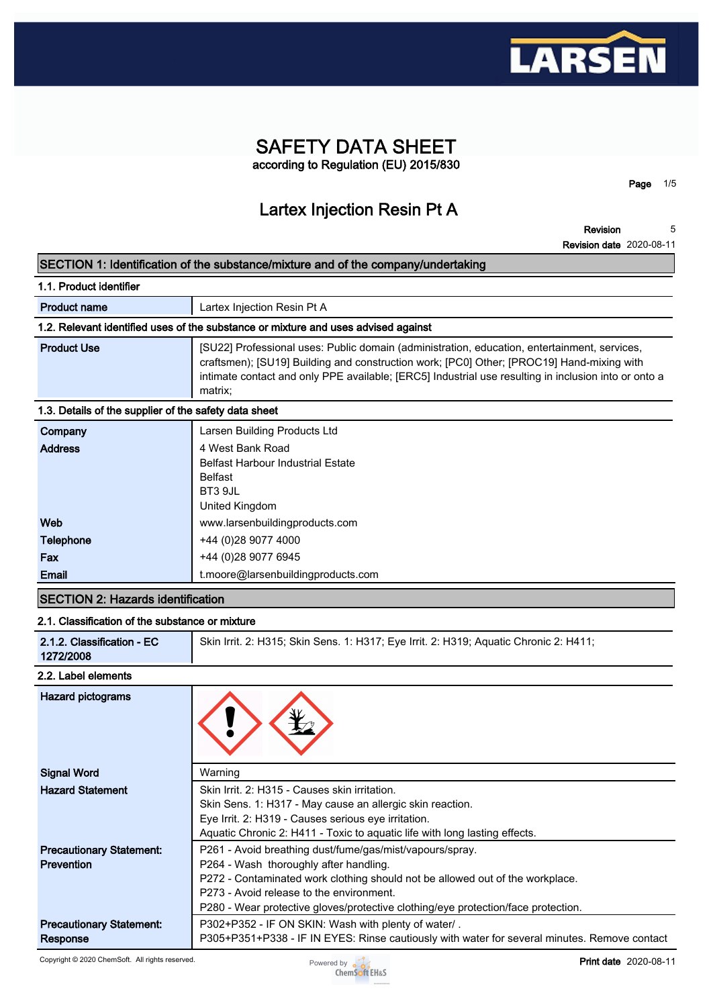

# **SAFETY DATA SHEET according to Regulation (EU) 2015/830**

**Page 1/5**

# **Lartex Injection Resin Pt A**

**Revision Revision date 2020-08-11 5**

### **SECTION 1: Identification of the substance/mixture and of the company/undertaking**

| Lartex Injection Resin Pt A                                                                                                                                                                                                                                                                                  |  |  |
|--------------------------------------------------------------------------------------------------------------------------------------------------------------------------------------------------------------------------------------------------------------------------------------------------------------|--|--|
| 1.2. Relevant identified uses of the substance or mixture and uses advised against                                                                                                                                                                                                                           |  |  |
| [SU22] Professional uses: Public domain (administration, education, entertainment, services,<br>craftsmen); [SU19] Building and construction work; [PC0] Other; [PROC19] Hand-mixing with<br>intimate contact and only PPE available; [ERC5] Industrial use resulting in inclusion into or onto a<br>matrix; |  |  |
| 1.3. Details of the supplier of the safety data sheet                                                                                                                                                                                                                                                        |  |  |
| Larsen Building Products Ltd                                                                                                                                                                                                                                                                                 |  |  |
| 4 West Bank Road<br><b>Belfast Harbour Industrial Estate</b><br><b>Belfast</b><br>--- - -                                                                                                                                                                                                                    |  |  |
|                                                                                                                                                                                                                                                                                                              |  |  |

| BT3 9JL                            |
|------------------------------------|
| United Kingdom                     |
| www.larsenbuildingproducts.com     |
| +44 (0) 28 9077 4000               |
| +44 (0) 28 9077 6945               |
| t.moore@larsenbuildingproducts.com |
|                                    |

# **SECTION 2: Hazards identification**

#### **2.1. Classification of the substance or mixture**

| 1272/2008 |
|-----------|
|-----------|

#### **2.2. Label elements**

| Hazard pictograms               |                                                                                              |
|---------------------------------|----------------------------------------------------------------------------------------------|
| <b>Signal Word</b>              | Warning                                                                                      |
| <b>Hazard Statement</b>         | Skin Irrit, 2: H315 - Causes skin irritation.                                                |
|                                 | Skin Sens. 1: H317 - May cause an allergic skin reaction.                                    |
|                                 | Eye Irrit. 2: H319 - Causes serious eye irritation.                                          |
|                                 | Aquatic Chronic 2: H411 - Toxic to aquatic life with long lasting effects.                   |
| <b>Precautionary Statement:</b> | P261 - Avoid breathing dust/fume/gas/mist/vapours/spray.                                     |
| <b>Prevention</b>               | P264 - Wash thoroughly after handling.                                                       |
|                                 | P272 - Contaminated work clothing should not be allowed out of the workplace.                |
|                                 | P273 - Avoid release to the environment.                                                     |
|                                 | P280 - Wear protective gloves/protective clothing/eye protection/face protection.            |
| <b>Precautionary Statement:</b> | P302+P352 - IF ON SKIN: Wash with plenty of water/.                                          |
| Response                        | P305+P351+P338 - IF IN EYES: Rinse cautiously with water for several minutes. Remove contact |

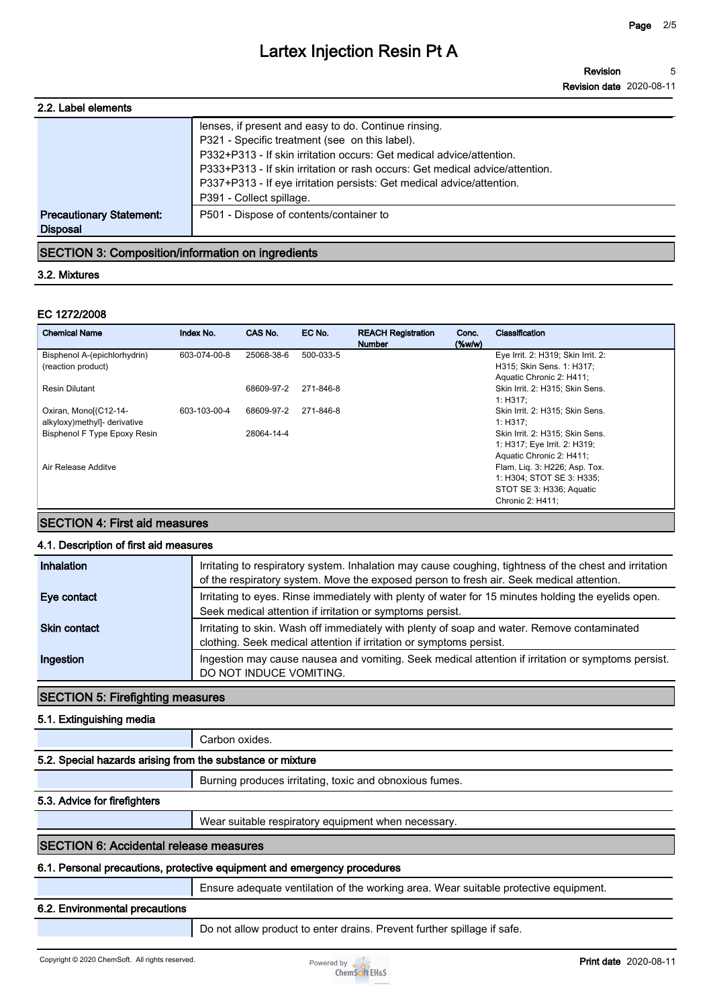| 2.2. Label elements                                |                                                                                                                                                                                                                                                                                                                                         |
|----------------------------------------------------|-----------------------------------------------------------------------------------------------------------------------------------------------------------------------------------------------------------------------------------------------------------------------------------------------------------------------------------------|
|                                                    | lenses, if present and easy to do. Continue rinsing.<br>P321 - Specific treatment (see on this label).<br>P332+P313 - If skin irritation occurs: Get medical advice/attention.<br>P333+P313 - If skin irritation or rash occurs: Get medical advice/attention.<br>P337+P313 - If eye irritation persists: Get medical advice/attention. |
|                                                    | P391 - Collect spillage.                                                                                                                                                                                                                                                                                                                |
| <b>Precautionary Statement:</b><br><b>Disposal</b> | P501 - Dispose of contents/container to                                                                                                                                                                                                                                                                                                 |

# **SECTION 3: Composition/information on ingredients**

#### **3.2. Mixtures**

#### **EC 1272/2008**

| <b>Chemical Name</b>                | Index No.    | CAS No.    | EC No.    | <b>REACH Registration</b><br><b>Number</b> | Conc.<br>$(\%w/w)$ | Classification                              |
|-------------------------------------|--------------|------------|-----------|--------------------------------------------|--------------------|---------------------------------------------|
| Bisphenol A-(epichlorhydrin)        | 603-074-00-8 | 25068-38-6 | 500-033-5 |                                            |                    | Eye Irrit. 2: H319; Skin Irrit. 2:          |
| (reaction product)                  |              |            |           |                                            |                    | H315; Skin Sens. 1: H317;                   |
|                                     |              |            |           |                                            |                    | Aquatic Chronic 2: H411;                    |
| Resin Dilutant                      |              | 68609-97-2 | 271-846-8 |                                            |                    | Skin Irrit. 2: H315; Skin Sens.<br>1: H317: |
| Oxiran, Monol(C12-14-               | 603-103-00-4 | 68609-97-2 | 271-846-8 |                                            |                    | Skin Irrit. 2: H315; Skin Sens.             |
| alkyloxy) methyl]- derivative       |              |            |           |                                            |                    | 1: H317:                                    |
| <b>Bisphenol F Type Epoxy Resin</b> |              | 28064-14-4 |           |                                            |                    | Skin Irrit. 2: H315; Skin Sens.             |
|                                     |              |            |           |                                            |                    | 1: H317; Eye Irrit. 2: H319;                |
|                                     |              |            |           |                                            |                    | Aquatic Chronic 2: H411;                    |
| Air Release Additve                 |              |            |           |                                            |                    | Flam. Lig. 3: H226; Asp. Tox.               |
|                                     |              |            |           |                                            |                    | 1: H304; STOT SE 3: H335;                   |
|                                     |              |            |           |                                            |                    | STOT SE 3: H336; Aquatic                    |
|                                     |              |            |           |                                            |                    | Chronic 2: H411;                            |

# **SECTION 4: First aid measures**

#### **4.1. Description of first aid measures**

| Inhalation          | Irritating to respiratory system. Inhalation may cause coughing, tightness of the chest and irritation<br>of the respiratory system. Move the exposed person to fresh air. Seek medical attention. |
|---------------------|----------------------------------------------------------------------------------------------------------------------------------------------------------------------------------------------------|
| Eye contact         | Irritating to eyes. Rinse immediately with plenty of water for 15 minutes holding the eyelids open.<br>Seek medical attention if irritation or symptoms persist.                                   |
| <b>Skin contact</b> | Irritating to skin. Wash off immediately with plenty of soap and water. Remove contaminated<br>clothing. Seek medical attention if irritation or symptoms persist.                                 |
| Ingestion           | Ingestion may cause nausea and vomiting. Seek medical attention if irritation or symptoms persist.<br>DO NOT INDUCE VOMITING.                                                                      |

#### **SECTION 5: Firefighting measures**

### **5.1. Extinguishing media**

#### **Carbon oxides.**

#### **5.2. Special hazards arising from the substance or mixture**

**Burning produces irritating, toxic and obnoxious fumes.**

#### **5.3. Advice for firefighters**

**Wear suitable respiratory equipment when necessary.**

#### **SECTION 6: Accidental release measures**

#### **6.1. Personal precautions, protective equipment and emergency procedures**

**Ensure adequate ventilation of the working area. Wear suitable protective equipment.**

#### **6.2. Environmental precautions**

**Do not allow product to enter drains. Prevent further spillage if safe.**

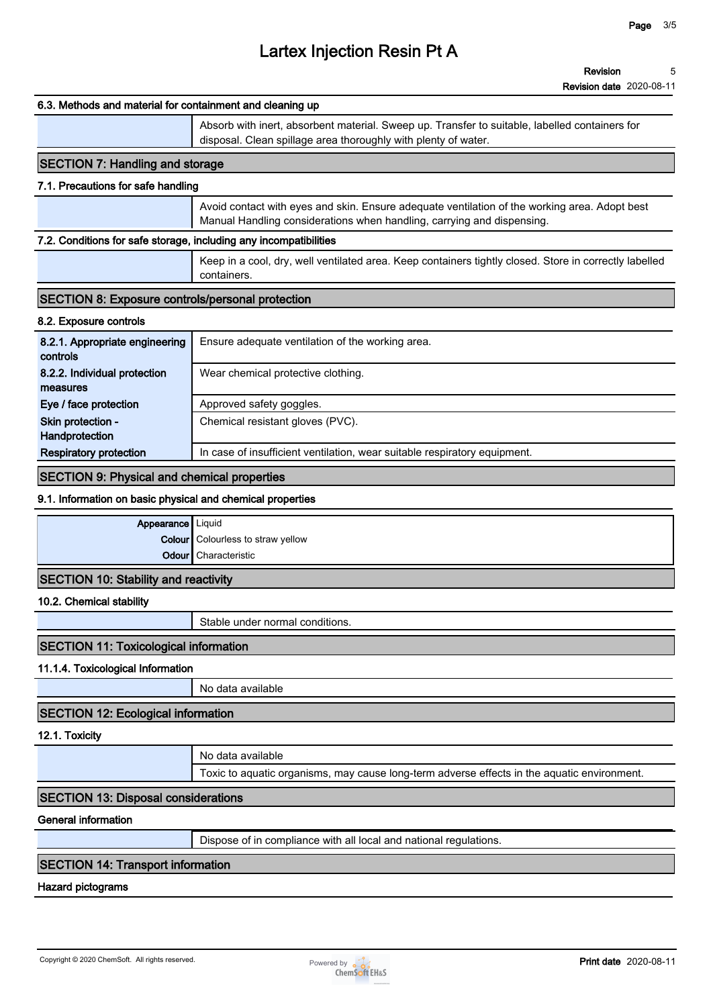# **6.3. Methods and material for containment and cleaning up Absorb with inert, absorbent material. Sweep up. Transfer to suitable, labelled containers for disposal. Clean spillage area thoroughly with plenty of water. SECTION 7: Handling and storage 7.1. Precautions for safe handling Avoid contact with eyes and skin. Ensure adequate ventilation of the working area. Adopt best Manual Handling considerations when handling, carrying and dispensing. 7.2. Conditions for safe storage, including any incompatibilities Keep in a cool, dry, well ventilated area. Keep containers tightly closed. Store in correctly labelled containers. SECTION 8: Exposure controls/personal protection 8.2. Exposure controls 8.2.1. Appropriate engineering controls Ensure adequate ventilation of the working area. 8.2.2. Individual protection measures Wear chemical protective clothing. Eye / face protection** | Approved safety goggles. **Skin protection - Handprotection Chemical resistant gloves (PVC). Respiratory protection I** In case of insufficient ventilation, wear suitable respiratory equipment. **SECTION 9: Physical and chemical properties 9.1. Information on basic physical and chemical properties Appearance Liquid Colour Colourless to straw yellow Odour Characteristic SECTION 10: Stability and reactivity 10.2. Chemical stability Stable under normal conditions. SECTION 11: Toxicological information 11.1.4. Toxicological Information No data available SECTION 12: Ecological information 12.1. Toxicity No data available Toxic to aquatic organisms, may cause long-term adverse effects in the aquatic environment. SECTION 13: Disposal considerations General information Dispose of in compliance with all local and national regulations. SECTION 14: Transport information Hazard pictograms**

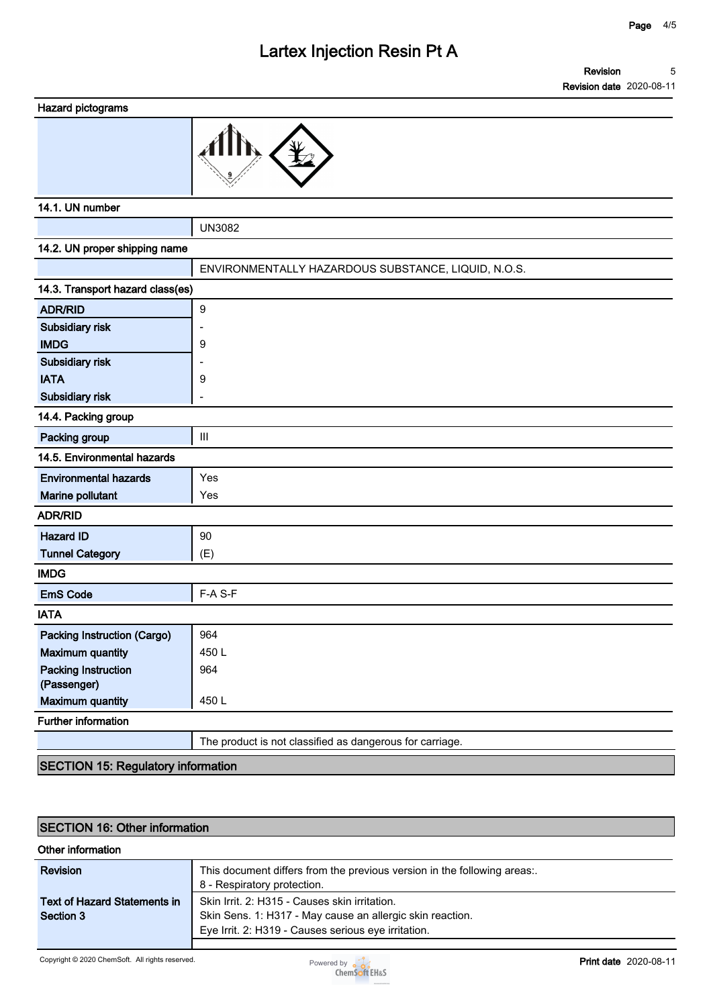#### **Revision Revision date 2020-08-11 5**



### **14.1. UN number**

**UN3082**

| 14.2. UN proper shipping name             |                                                          |
|-------------------------------------------|----------------------------------------------------------|
|                                           | ENVIRONMENTALLY HAZARDOUS SUBSTANCE, LIQUID, N.O.S.      |
| 14.3. Transport hazard class(es)          |                                                          |
| <b>ADR/RID</b>                            | 9                                                        |
| Subsidiary risk                           |                                                          |
| <b>IMDG</b>                               | 9                                                        |
| Subsidiary risk                           |                                                          |
| <b>IATA</b>                               | 9                                                        |
| <b>Subsidiary risk</b>                    |                                                          |
| 14.4. Packing group                       |                                                          |
| Packing group                             | III                                                      |
| 14.5. Environmental hazards               |                                                          |
| <b>Environmental hazards</b>              | Yes                                                      |
| Marine pollutant                          | Yes                                                      |
| <b>ADR/RID</b>                            |                                                          |
| <b>Hazard ID</b>                          | 90                                                       |
| <b>Tunnel Category</b>                    | (E)                                                      |
| <b>IMDG</b>                               |                                                          |
| <b>EmS Code</b>                           | F-A S-F                                                  |
| <b>IATA</b>                               |                                                          |
| <b>Packing Instruction (Cargo)</b>        | 964                                                      |
| <b>Maximum quantity</b>                   | 450L                                                     |
| <b>Packing Instruction</b>                | 964                                                      |
| (Passenger)                               |                                                          |
| <b>Maximum quantity</b>                   | 450L                                                     |
| <b>Further information</b>                |                                                          |
|                                           | The product is not classified as dangerous for carriage. |
| <b>SECTION 15: Regulatory information</b> |                                                          |

# **SECTION 16: Other information**

#### **Other information**

| Revision                            | This document differs from the previous version in the following areas:.<br>8 - Respiratory protection. |
|-------------------------------------|---------------------------------------------------------------------------------------------------------|
| <b>Text of Hazard Statements in</b> | Skin Irrit, 2: H315 - Causes skin irritation.                                                           |
| Section 3                           | Skin Sens. 1: H317 - May cause an allergic skin reaction.                                               |
|                                     | Eye Irrit. 2: H319 - Causes serious eye irritation.                                                     |
|                                     |                                                                                                         |

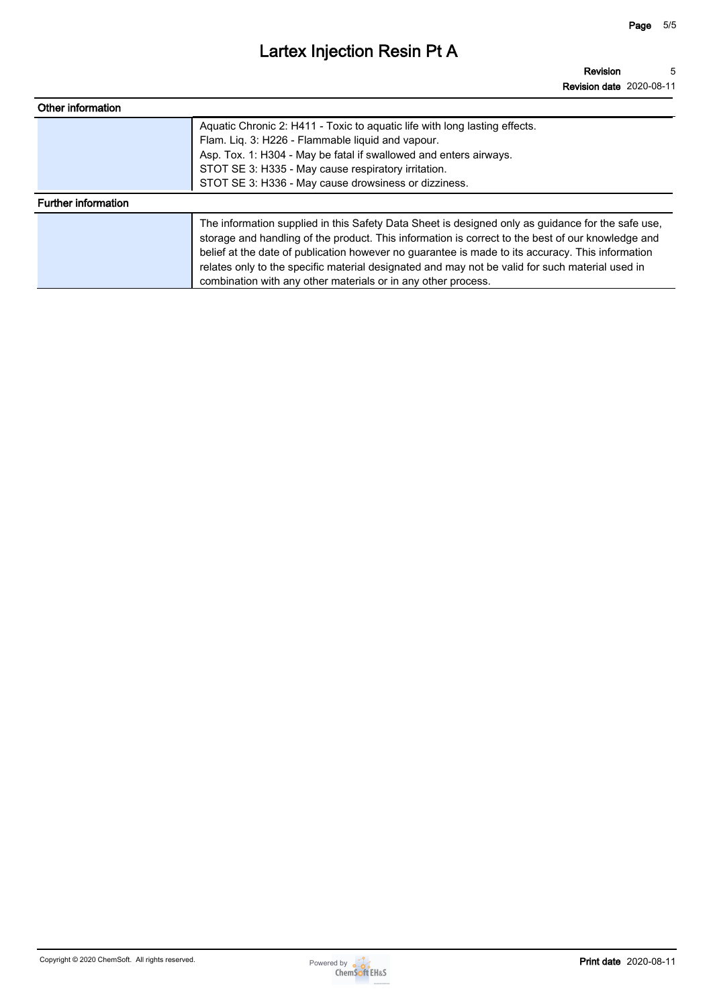| Other information          |                                                                                                                                                                                                                                                                                                                                                                                                                                                                                |
|----------------------------|--------------------------------------------------------------------------------------------------------------------------------------------------------------------------------------------------------------------------------------------------------------------------------------------------------------------------------------------------------------------------------------------------------------------------------------------------------------------------------|
|                            | Aquatic Chronic 2: H411 - Toxic to aquatic life with long lasting effects.<br>Flam. Liq. 3: H226 - Flammable liquid and vapour.<br>Asp. Tox. 1: H304 - May be fatal if swallowed and enters airways.<br>STOT SE 3: H335 - May cause respiratory irritation.<br>STOT SE 3: H336 - May cause drowsiness or dizziness.                                                                                                                                                            |
| <b>Further information</b> |                                                                                                                                                                                                                                                                                                                                                                                                                                                                                |
|                            | The information supplied in this Safety Data Sheet is designed only as guidance for the safe use,<br>storage and handling of the product. This information is correct to the best of our knowledge and<br>belief at the date of publication however no guarantee is made to its accuracy. This information<br>relates only to the specific material designated and may not be valid for such material used in<br>combination with any other materials or in any other process. |

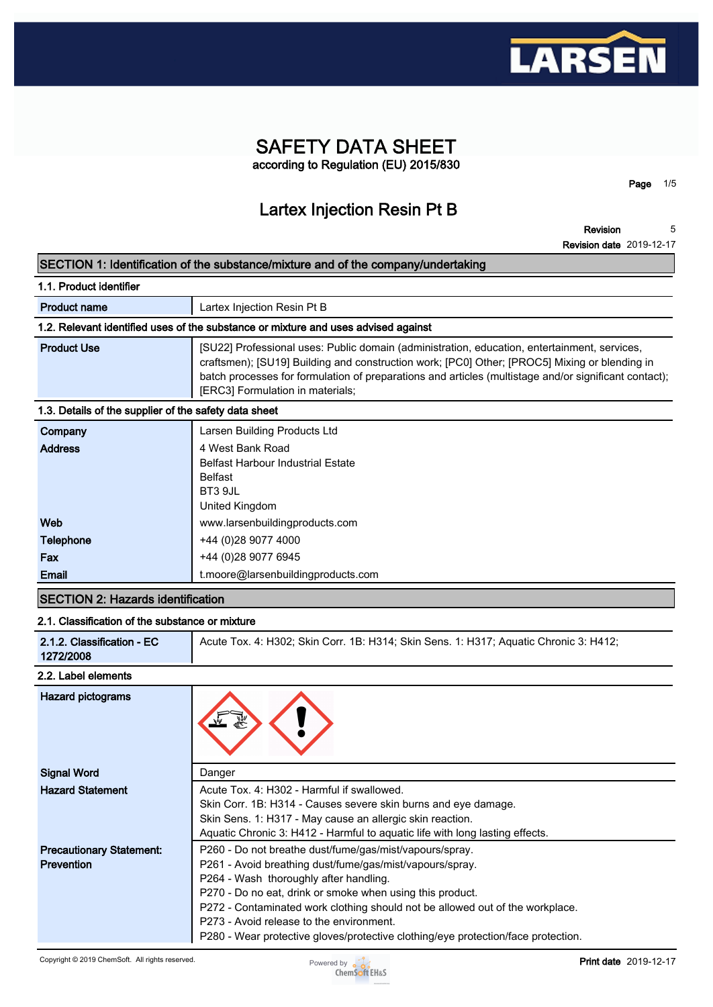

# **SAFETY DATA SHEET according to Regulation (EU) 2015/830**

# **Lartex Injection Resin Pt B**

**Revision Revision date 2019-12-17 5**

**Page 1/5**

#### **SECTION 1: Identification of the substance/mixture and of the company/undertaking**

| Lartex Injection Resin Pt B                                                                                                                                                                                                                                                                                                                |
|--------------------------------------------------------------------------------------------------------------------------------------------------------------------------------------------------------------------------------------------------------------------------------------------------------------------------------------------|
| 1.2. Relevant identified uses of the substance or mixture and uses advised against                                                                                                                                                                                                                                                         |
| [SU22] Professional uses: Public domain (administration, education, entertainment, services,<br>craftsmen); [SU19] Building and construction work; [PC0] Other; [PROC5] Mixing or blending in<br>batch processes for formulation of preparations and articles (multistage and/or significant contact);<br>[ERC3] Formulation in materials; |
| 1.3. Details of the supplier of the safety data sheet                                                                                                                                                                                                                                                                                      |
| Larsen Building Products Ltd                                                                                                                                                                                                                                                                                                               |
| 4 West Bank Road<br><b>Belfast Harbour Industrial Estate</b><br><b>Belfast</b><br>BT3 9JL<br>United Kingdom                                                                                                                                                                                                                                |
|                                                                                                                                                                                                                                                                                                                                            |

| <b>Email</b>     | t.moore@larsenbuildingproducts.com |
|------------------|------------------------------------|
| Fax              | +44 (0)28 9077 6945                |
| <b>Telephone</b> | +44 (0)28 9077 4000                |
| Web              | www.larsenbuildingproducts.com     |
|                  | <b>UITIUM INIINUUIII</b>           |

# **SECTION 2: Hazards identification**

# **2.1. Classification of the substance or mixture**

| Acute Tox. 4: H302; Skin Corr. 1B: H314; Skin Sens. 1: H317; Aguatic Chronic 3: H412;<br>2.1.2. Classification - EC<br>1272/2008 |
|----------------------------------------------------------------------------------------------------------------------------------|
|----------------------------------------------------------------------------------------------------------------------------------|

### **2.2. Label elements**

| <b>Hazard pictograms</b>                             |                                                                                                                                                                                                                                                                                                                                                                                                                                              |
|------------------------------------------------------|----------------------------------------------------------------------------------------------------------------------------------------------------------------------------------------------------------------------------------------------------------------------------------------------------------------------------------------------------------------------------------------------------------------------------------------------|
| <b>Signal Word</b>                                   | Danger                                                                                                                                                                                                                                                                                                                                                                                                                                       |
| <b>Hazard Statement</b>                              | Acute Tox. 4: H302 - Harmful if swallowed.<br>Skin Corr. 1B: H314 - Causes severe skin burns and eye damage.<br>Skin Sens. 1: H317 - May cause an allergic skin reaction.<br>Aquatic Chronic 3: H412 - Harmful to aquatic life with long lasting effects.                                                                                                                                                                                    |
| <b>Precautionary Statement:</b><br><b>Prevention</b> | P260 - Do not breathe dust/fume/gas/mist/vapours/spray.<br>P261 - Avoid breathing dust/fume/gas/mist/vapours/spray.<br>P264 - Wash thoroughly after handling.<br>P270 - Do no eat, drink or smoke when using this product.<br>P272 - Contaminated work clothing should not be allowed out of the workplace.<br>P273 - Avoid release to the environment.<br>P280 - Wear protective gloves/protective clothing/eye protection/face protection. |

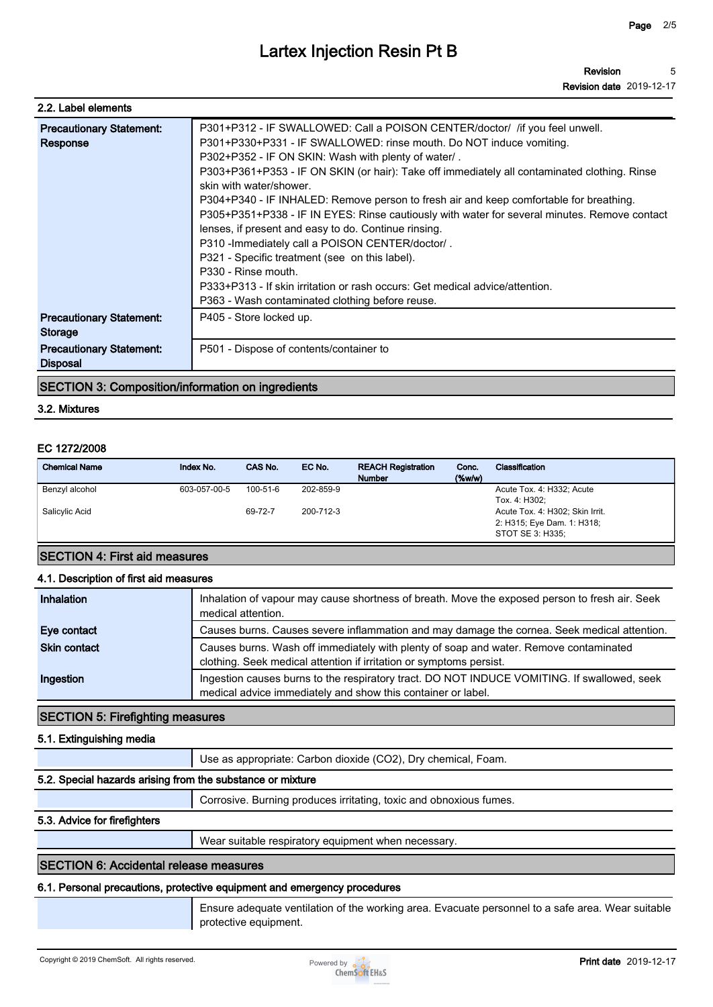| 2.2. Label elements                                |                                                                                                                                                                                                                                                                                                                                                                                                                                                                                                                                                                                                                                                                                                                                                                                                                                                        |
|----------------------------------------------------|--------------------------------------------------------------------------------------------------------------------------------------------------------------------------------------------------------------------------------------------------------------------------------------------------------------------------------------------------------------------------------------------------------------------------------------------------------------------------------------------------------------------------------------------------------------------------------------------------------------------------------------------------------------------------------------------------------------------------------------------------------------------------------------------------------------------------------------------------------|
| <b>Precautionary Statement:</b><br>Response        | P301+P312 - IF SWALLOWED: Call a POISON CENTER/doctor/ /if you feel unwell.<br>P301+P330+P331 - IF SWALLOWED: rinse mouth. Do NOT induce vomiting.<br>P302+P352 - IF ON SKIN: Wash with plenty of water/.<br>P303+P361+P353 - IF ON SKIN (or hair): Take off immediately all contaminated clothing. Rinse<br>skin with water/shower.<br>P304+P340 - IF INHALED: Remove person to fresh air and keep comfortable for breathing.<br>P305+P351+P338 - IF IN EYES: Rinse cautiously with water for several minutes. Remove contact<br>lenses, if present and easy to do. Continue rinsing.<br>P310 - Immediately call a POISON CENTER/doctor/.<br>P321 - Specific treatment (see on this label).<br>P330 - Rinse mouth.<br>P333+P313 - If skin irritation or rash occurs: Get medical advice/attention.<br>P363 - Wash contaminated clothing before reuse. |
| <b>Precautionary Statement:</b><br>Storage         | P405 - Store locked up.                                                                                                                                                                                                                                                                                                                                                                                                                                                                                                                                                                                                                                                                                                                                                                                                                                |
| <b>Precautionary Statement:</b><br><b>Disposal</b> | P501 - Dispose of contents/container to                                                                                                                                                                                                                                                                                                                                                                                                                                                                                                                                                                                                                                                                                                                                                                                                                |

#### **SECTION 3: Composition/information on ingredients**

#### **3.2. Mixtures**

#### **EC 1272/2008**

| <b>Chemical Name</b> | Index No.    | CAS No.        | EC No.    | <b>REACH Registration</b><br><b>Number</b> | Conc.<br>(% | Classification                                                                    |
|----------------------|--------------|----------------|-----------|--------------------------------------------|-------------|-----------------------------------------------------------------------------------|
| Benzyl alcohol       | 603-057-00-5 | $100 - 51 - 6$ | 202-859-9 |                                            |             | Acute Tox. 4: H332; Acute<br>Tox. 4: H302;                                        |
| Salicylic Acid       |              | 69-72-7        | 200-712-3 |                                            |             | Acute Tox. 4: H302; Skin Irrit.<br>2: H315; Eye Dam. 1: H318;<br>STOT SE 3: H335; |

#### **SECTION 4: First aid measures**

#### **4.1. Description of first aid measures**

| Inhalation          | Inhalation of vapour may cause shortness of breath. Move the exposed person to fresh air. Seek<br>medical attention.                                         |
|---------------------|--------------------------------------------------------------------------------------------------------------------------------------------------------------|
| Eye contact         | Causes burns. Causes severe inflammation and may damage the cornea. Seek medical attention.                                                                  |
| <b>Skin contact</b> | Causes burns. Wash off immediately with plenty of soap and water. Remove contaminated<br>clothing. Seek medical attention if irritation or symptoms persist. |
| Ingestion           | Ingestion causes burns to the respiratory tract. DO NOT INDUCE VOMITING. If swallowed, seek<br>medical advice immediately and show this container or label.  |

#### **SECTION 5: Firefighting measures**

#### **5.1. Extinguishing media**

**Use as appropriate: Carbon dioxide (CO2), Dry chemical, Foam.**

# **5.2. Special hazards arising from the substance or mixture**

**Corrosive. Burning produces irritating, toxic and obnoxious fumes.**

### **5.3. Advice for firefighters**

**Wear suitable respiratory equipment when necessary.**

# **SECTION 6: Accidental release measures**

#### **6.1. Personal precautions, protective equipment and emergency procedures**

**Ensure adequate ventilation of the working area. Evacuate personnel to a safe area. Wear suitable protective equipment.**

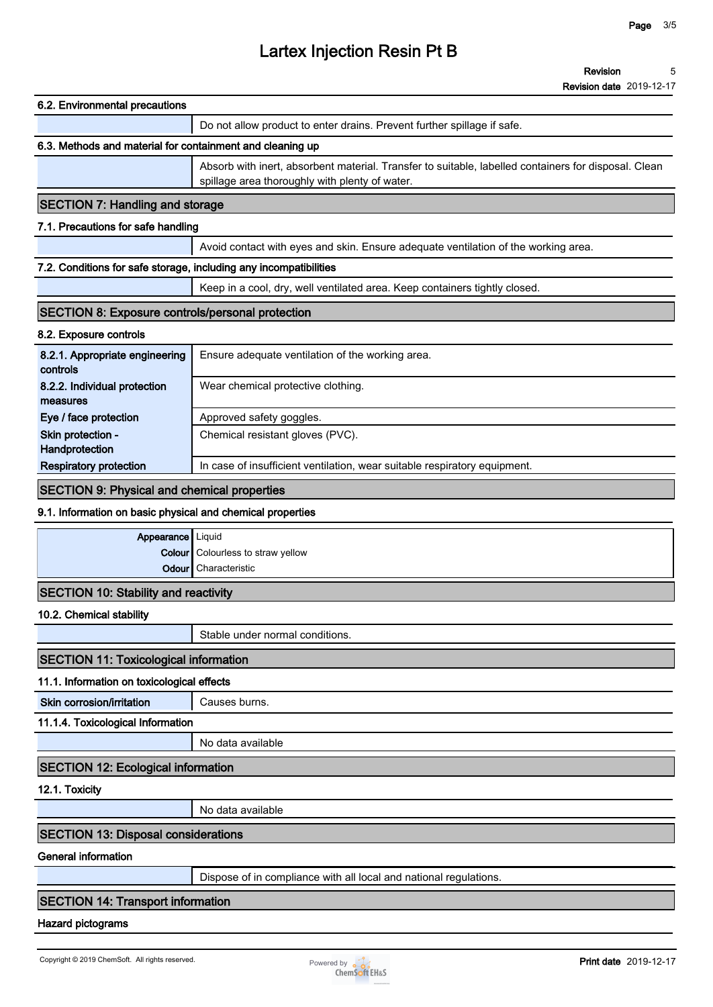#### **6.2. Environmental precautions**

**Do not allow product to enter drains. Prevent further spillage if safe.**

# **6.3. Methods and material for containment and cleaning up**

**Absorb with inert, absorbent material. Transfer to suitable, labelled containers for disposal. Clean spillage area thoroughly with plenty of water.**

# **SECTION 7: Handling and storage**

### **7.1. Precautions for safe handling**

**Avoid contact with eyes and skin. Ensure adequate ventilation of the working area.**

#### **7.2. Conditions for safe storage, including any incompatibilities**

**Keep in a cool, dry, well ventilated area. Keep containers tightly closed.**

#### **SECTION 8: Exposure controls/personal protection**

#### **8.2. Exposure controls**

| 8.2.1. Appropriate engineering<br>controls | Ensure adequate ventilation of the working area.                          |
|--------------------------------------------|---------------------------------------------------------------------------|
| 8.2.2. Individual protection               | Wear chemical protective clothing.                                        |
| measures                                   |                                                                           |
| Eye / face protection                      | Approved safety goggles.                                                  |
| Skin protection -                          | Chemical resistant gloves (PVC).                                          |
| Handprotection                             |                                                                           |
| <b>Respiratory protection</b>              | In case of insufficient ventilation, wear suitable respiratory equipment. |

#### **SECTION 9: Physical and chemical properties**

#### **9.1. Information on basic physical and chemical properties**

| Appearance   Liquid                  |                                          |
|--------------------------------------|------------------------------------------|
|                                      | <b>Colour</b> Colourless to straw yellow |
|                                      | <b>Odour</b> Characteristic              |
| SECTION 10: Stability and reactivity |                                          |

#### **10.2. Chemical stability**

**Stable under normal conditions.**

### **SECTION 11: Toxicological information**

#### **11.1. Information on toxicological effects**

**Skin corrosion/irritation Causes burns.** 

**11.1.4. Toxicological Information**

**No data available**

#### **SECTION 12: Ecological information**

**12.1. Toxicity**

**No data available**

### **SECTION 13: Disposal considerations**

#### **General information**

**Dispose of in compliance with all local and national regulations.**

### **SECTION 14: Transport information**

#### **Hazard pictograms**

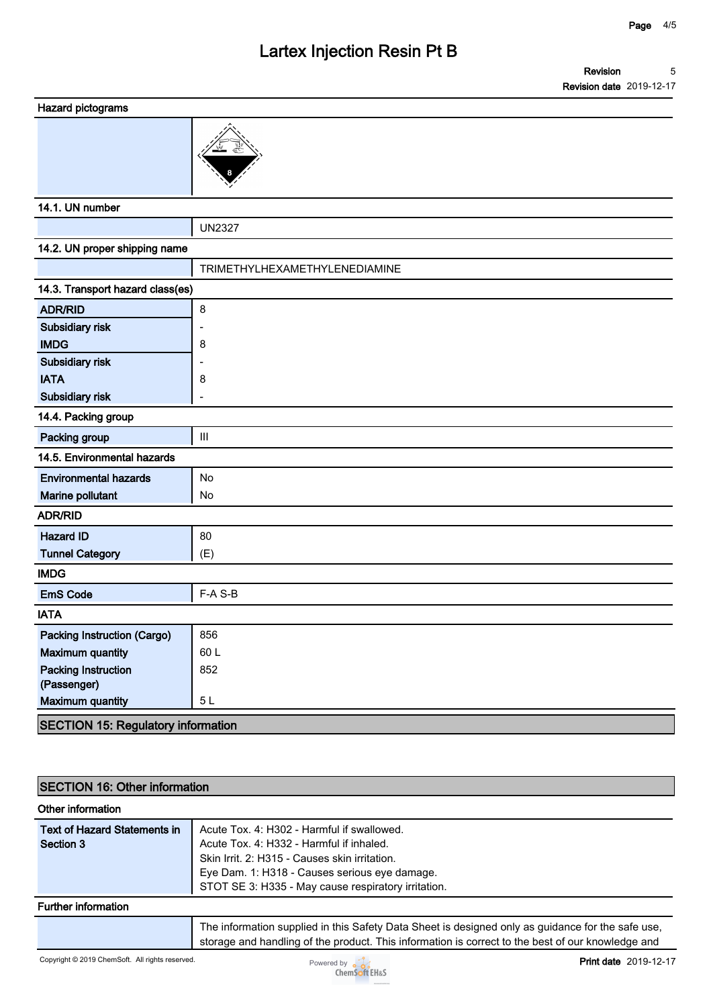#### **Hazard pictograms**



#### **14.1. UN number**

**UN2327 14.2. UN proper shipping name TRIMETHYLHEXAMETHYLENEDIAMINE 14.3. Transport hazard class(es) ADR/RID 8 Subsidiary risk - IMDG 8 Subsidiary risk - IATA 8 Subsidiary risk - 14.4. Packing group Packing group III 14.5. Environmental hazards Environmental hazards** No **Marine pollutant No ADR/RID Hazard ID** 80 **Tunnel Category (E) IMDG EmS Code F-A S-B IATA Packing Instruction (Cargo)** | 856 **Maximum quantity** 60 L **Packing Instruction (Passenger) 852 Maximum quantity 5 L**

### **SECTION 15: Regulatory information**

| <b>SECTION 16: Other information</b> |                                                                                                                                                                                                        |  |
|--------------------------------------|--------------------------------------------------------------------------------------------------------------------------------------------------------------------------------------------------------|--|
| Other information                    |                                                                                                                                                                                                        |  |
| <b>Text of Hazard Statements in</b>  | Acute Tox. 4: H302 - Harmful if swallowed.                                                                                                                                                             |  |
| Section 3                            | Acute Tox. 4: H332 - Harmful if inhaled.                                                                                                                                                               |  |
|                                      | Skin Irrit. 2: H315 - Causes skin irritation.                                                                                                                                                          |  |
|                                      | Eye Dam. 1: H318 - Causes serious eye damage.                                                                                                                                                          |  |
|                                      | STOT SE 3: H335 - May cause respiratory irritation.                                                                                                                                                    |  |
| <b>Further information</b>           |                                                                                                                                                                                                        |  |
|                                      | The information supplied in this Safety Data Sheet is designed only as guidance for the safe use,<br>storage and handling of the product. This information is correct to the best of our knowledge and |  |